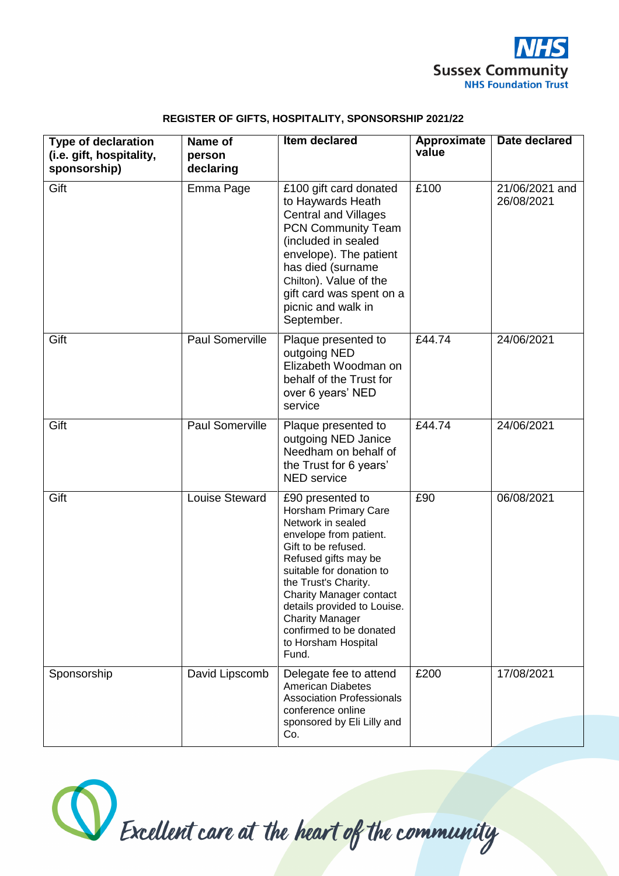

| Name of<br>person<br>declaring | <b>Item declared</b>                                                                                                                                                                                                                                                                                                                             | <b>Approximate</b><br>value | <b>Date declared</b>         |
|--------------------------------|--------------------------------------------------------------------------------------------------------------------------------------------------------------------------------------------------------------------------------------------------------------------------------------------------------------------------------------------------|-----------------------------|------------------------------|
| Emma Page                      | £100 gift card donated<br>to Haywards Heath<br><b>Central and Villages</b><br><b>PCN Community Team</b><br>(included in sealed<br>envelope). The patient<br>has died (surname<br>Chilton). Value of the<br>gift card was spent on a<br>picnic and walk in<br>September.                                                                          | £100                        | 21/06/2021 and<br>26/08/2021 |
| Paul Somerville                | Plaque presented to<br>outgoing NED<br>Elizabeth Woodman on<br>behalf of the Trust for<br>over 6 years' NED<br>service                                                                                                                                                                                                                           | £44.74                      | 24/06/2021                   |
| <b>Paul Somerville</b>         | Plaque presented to<br>outgoing NED Janice<br>Needham on behalf of<br>the Trust for 6 years'<br><b>NED</b> service                                                                                                                                                                                                                               | £44.74                      | 24/06/2021                   |
| Louise Steward                 | £90 presented to<br>Horsham Primary Care<br>Network in sealed<br>envelope from patient.<br>Gift to be refused.<br>Refused gifts may be<br>suitable for donation to<br>the Trust's Charity.<br><b>Charity Manager contact</b><br>details provided to Louise.<br><b>Charity Manager</b><br>confirmed to be donated<br>to Horsham Hospital<br>Fund. | £90                         | 06/08/2021                   |
| David Lipscomb                 | Delegate fee to attend<br><b>American Diabetes</b><br><b>Association Professionals</b><br>conference online<br>sponsored by Eli Lilly and                                                                                                                                                                                                        | £200                        | 17/08/2021                   |
|                                |                                                                                                                                                                                                                                                                                                                                                  | Co.                         |                              |

## **REGISTER OF GIFTS, HOSPITALITY, SPONSORSHIP 2021/22**

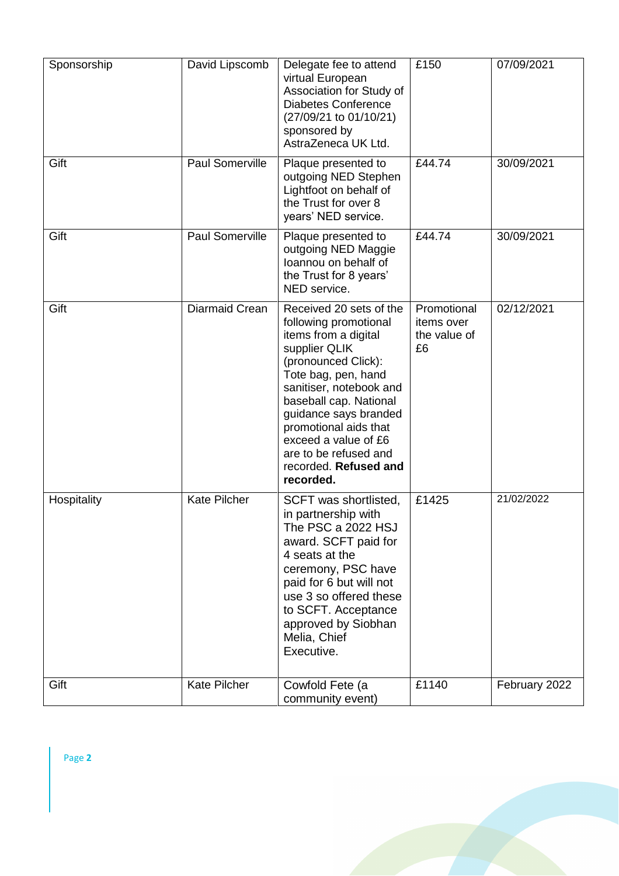| Sponsorship | David Lipscomb         | Delegate fee to attend<br>virtual European<br>Association for Study of<br><b>Diabetes Conference</b><br>(27/09/21 to 01/10/21)<br>sponsored by<br>AstraZeneca UK Ltd.                                                                                                                                                                 | £150                                            | 07/09/2021    |
|-------------|------------------------|---------------------------------------------------------------------------------------------------------------------------------------------------------------------------------------------------------------------------------------------------------------------------------------------------------------------------------------|-------------------------------------------------|---------------|
| Gift        | Paul Somerville        | Plaque presented to<br>outgoing NED Stephen<br>Lightfoot on behalf of<br>the Trust for over 8<br>years' NED service.                                                                                                                                                                                                                  | £44.74                                          | 30/09/2021    |
| Gift        | <b>Paul Somerville</b> | Plaque presented to<br>outgoing NED Maggie<br>loannou on behalf of<br>the Trust for 8 years'<br>NED service.                                                                                                                                                                                                                          | £44.74                                          | 30/09/2021    |
| Gift        | Diarmaid Crean         | Received 20 sets of the<br>following promotional<br>items from a digital<br>supplier QLIK<br>(pronounced Click):<br>Tote bag, pen, hand<br>sanitiser, notebook and<br>baseball cap. National<br>guidance says branded<br>promotional aids that<br>exceed a value of £6<br>are to be refused and<br>recorded. Refused and<br>recorded. | Promotional<br>items over<br>the value of<br>£6 | 02/12/2021    |
| Hospitality | <b>Kate Pilcher</b>    | SCFT was shortlisted,<br>in partnership with<br>The PSC a 2022 HSJ<br>award. SCFT paid for<br>4 seats at the<br>ceremony, PSC have<br>paid for 6 but will not<br>use 3 so offered these<br>to SCFT. Acceptance<br>approved by Siobhan<br>Melia, Chief<br>Executive.                                                                   | £1425                                           | 21/02/2022    |
| Gift        | <b>Kate Pilcher</b>    | Cowfold Fete (a<br>community event)                                                                                                                                                                                                                                                                                                   | £1140                                           | February 2022 |